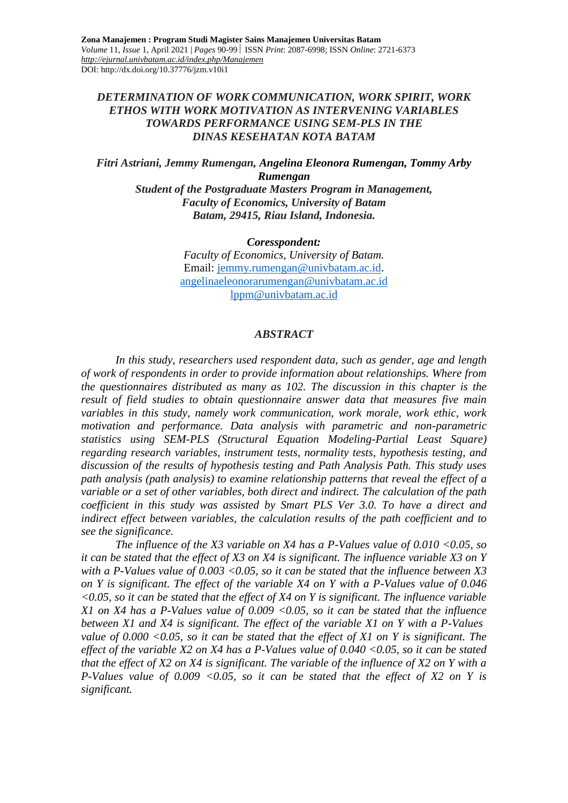### *DETERMINATION OF WORK COMMUNICATION, WORK SPIRIT, WORK ETHOS WITH WORK MOTIVATION AS INTERVENING VARIABLES TOWARDS PERFORMANCE USING SEM-PLS IN THE DINAS KESEHATAN KOTA BATAM*

*Fitri Astriani, Jemmy Rumengan, Angelina Eleonora Rumengan, Tommy Arby Rumengan Student of the Postgraduate Masters Program in Management, Faculty of Economics, University of Batam Batam, 29415, Riau Island, Indonesia.*

*Coresspondent:*

*Faculty of Economics, University of Batam.* Email: [jemmy.rumengan@univbatam.ac.id.](mailto:jemmy.rumengan@univbatam.ac.id) [angelinaeleonorarumengan@univbatam.ac.id](mailto:angelinaeleonorarumengan@univbatam.ac.id) [lppm@univbatam.ac.id](mailto:lppm@univbatam.ac.id)

#### *ABSTRACT*

*In this study, researchers used respondent data, such as gender, age and length of work of respondents in order to provide information about relationships. Where from the questionnaires distributed as many as 102. The discussion in this chapter is the result of field studies to obtain questionnaire answer data that measures five main variables in this study, namely work communication, work morale, work ethic, work motivation and performance. Data analysis with parametric and non-parametric statistics using SEM-PLS (Structural Equation Modeling-Partial Least Square) regarding research variables, instrument tests, normality tests, hypothesis testing, and discussion of the results of hypothesis testing and Path Analysis Path. This study uses path analysis (path analysis) to examine relationship patterns that reveal the effect of a variable or a set of other variables, both direct and indirect. The calculation of the path coefficient in this study was assisted by Smart PLS Ver 3.0. To have a direct and indirect effect between variables, the calculation results of the path coefficient and to see the significance.*

*The influence of the X3 variable on X4 has a P-Values value of 0.010 <0.05, so it can be stated that the effect of X3 on X4 is significant. The influence variable X3 on Y with a P-Values value of 0.003 <0.05, so it can be stated that the influence between X3 on Y is significant. The effect of the variable X4 on Y with a P-Values value of 0.046 <0.05, so it can be stated that the effect of X4 on Y is significant. The influence variable X1 on X4 has a P-Values value of 0.009 <0.05, so it can be stated that the influence between X1 and X4 is significant. The effect of the variable X1 on Y with a P-Values value of 0.000 <0.05, so it can be stated that the effect of X1 on Y is significant. The effect of the variable X2 on X4 has a P-Values value of 0.040 <0.05, so it can be stated that the effect of X2 on X4 is significant. The variable of the influence of X2 on Y with a P-Values value of 0.009 <0.05, so it can be stated that the effect of X2 on Y is significant.*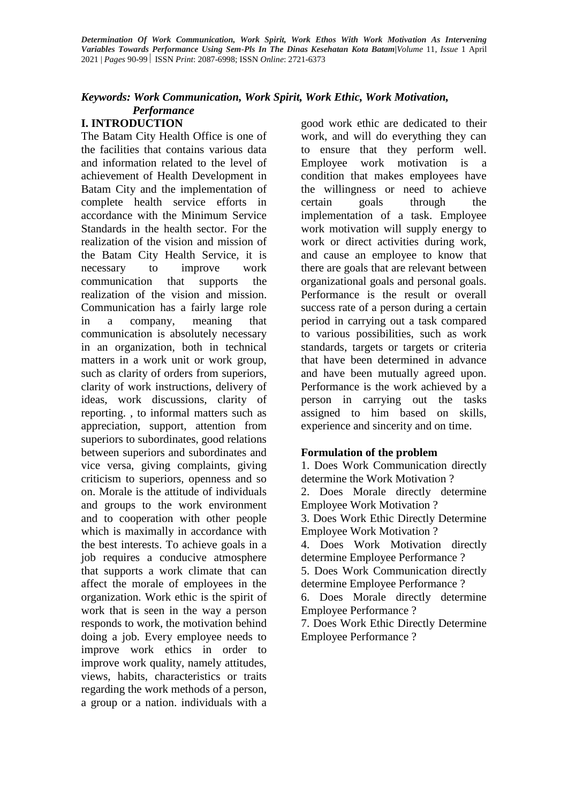#### *Keywords: Work Communication, Work Spirit, Work Ethic, Work Motivation, Performance*

### **I. INTRODUCTION**

The Batam City Health Office is one of the facilities that contains various data and information related to the level of achievement of Health Development in Batam City and the implementation of complete health service efforts in accordance with the Minimum Service Standards in the health sector. For the realization of the vision and mission of the Batam City Health Service, it is necessary to improve work communication that supports the realization of the vision and mission. Communication has a fairly large role in a company, meaning that communication is absolutely necessary in an organization, both in technical matters in a work unit or work group, such as clarity of orders from superiors, clarity of work instructions, delivery of ideas, work discussions, clarity of reporting. , to informal matters such as appreciation, support, attention from superiors to subordinates, good relations between superiors and subordinates and vice versa, giving complaints, giving criticism to superiors, openness and so on. Morale is the attitude of individuals and groups to the work environment and to cooperation with other people which is maximally in accordance with the best interests. To achieve goals in a job requires a conducive atmosphere that supports a work climate that can affect the morale of employees in the organization. Work ethic is the spirit of work that is seen in the way a person responds to work, the motivation behind doing a job. Every employee needs to improve work ethics in order to improve work quality, namely attitudes, views, habits, characteristics or traits regarding the work methods of a person, a group or a nation. individuals with a

good work ethic are dedicated to their work, and will do everything they can to ensure that they perform well. Employee work motivation is a condition that makes employees have the willingness or need to achieve certain goals through the implementation of a task. Employee work motivation will supply energy to work or direct activities during work, and cause an employee to know that there are goals that are relevant between organizational goals and personal goals. Performance is the result or overall success rate of a person during a certain period in carrying out a task compared to various possibilities, such as work standards, targets or targets or criteria that have been determined in advance and have been mutually agreed upon. Performance is the work achieved by a person in carrying out the tasks assigned to him based on skills, experience and sincerity and on time.

### **Formulation of the problem**

1. Does Work Communication directly determine the Work Motivation ? 2. Does Morale directly determine Employee Work Motivation ? 3. Does Work Ethic Directly Determine Employee Work Motivation ? 4. Does Work Motivation directly determine Employee Performance ? 5. Does Work Communication directly determine Employee Performance ? 6. Does Morale directly determine Employee Performance ? 7. Does Work Ethic Directly Determine

Employee Performance ?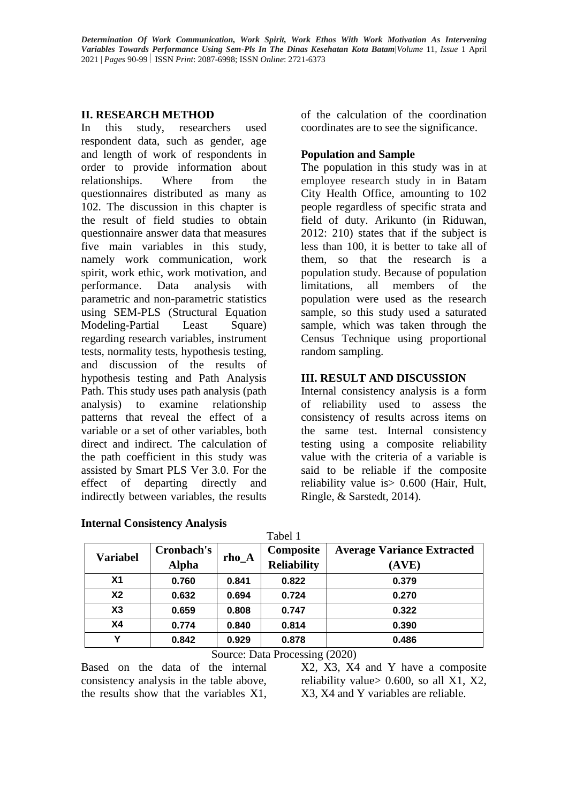### **II. RESEARCH METHOD**

In this study, researchers used respondent data, such as gender, age and length of work of respondents in order to provide information about relationships. Where from the questionnaires distributed as many as 102. The discussion in this chapter is the result of field studies to obtain questionnaire answer data that measures five main variables in this study, namely work communication, work spirit, work ethic, work motivation, and performance. Data analysis with parametric and non-parametric statistics using SEM-PLS (Structural Equation Modeling-Partial Least Square) regarding research variables, instrument tests, normality tests, hypothesis testing, and discussion of the results of hypothesis testing and Path Analysis Path. This study uses path analysis (path analysis) to examine relationship patterns that reveal the effect of a variable or a set of other variables, both direct and indirect. The calculation of the path coefficient in this study was assisted by Smart PLS Ver 3.0. For the effect of departing directly and indirectly between variables, the results

of the calculation of the coordination coordinates are to see the significance.

## **Population and Sample**

The population in this study was in at employee research study in in Batam City Health Office, amounting to 102 people regardless of specific strata and field of duty. Arikunto (in Riduwan, 2012: 210) states that if the subject is less than 100, it is better to take all of them, so that the research is a population study. Because of population limitations, all members of the population were used as the research sample, so this study used a saturated sample, which was taken through the Census Technique using proportional random sampling.

# **III. RESULT AND DISCUSSION**

Internal consistency analysis is a form of reliability used to assess the consistency of results across items on the same test. Internal consistency testing using a composite reliability value with the criteria of a variable is said to be reliable if the composite reliability value is> 0.600 (Hair, Hult, Ringle, & Sarstedt, 2014).

| <b>Variabel</b> | Cronbach's<br><b>Alpha</b> | $rho_A$ | Composite<br><b>Reliability</b> | <b>Average Variance Extracted</b><br>(AVE) |
|-----------------|----------------------------|---------|---------------------------------|--------------------------------------------|
| X1              | 0.760                      | 0.841   | 0.822                           | 0.379                                      |
| <b>X2</b>       | 0.632                      | 0.694   | 0.724                           | 0.270                                      |
| X3              | 0.659                      | 0.808   | 0.747                           | 0.322                                      |
| <b>X4</b>       | 0.774                      | 0.840   | 0.814                           | 0.390                                      |
| Υ               | 0.842                      | 0.929   | 0.878                           | 0.486                                      |

 $T<sub>0</sub>$  1.1 1

### **Internal Consistency Analysis**

Source: Data Processing (2020)

Based on the data of the internal consistency analysis in the table above, the results show that the variables X1,

X2, X3, X4 and Y have a composite reliability value  $> 0.600$ , so all X1, X2, X3, X4 and Y variables are reliable.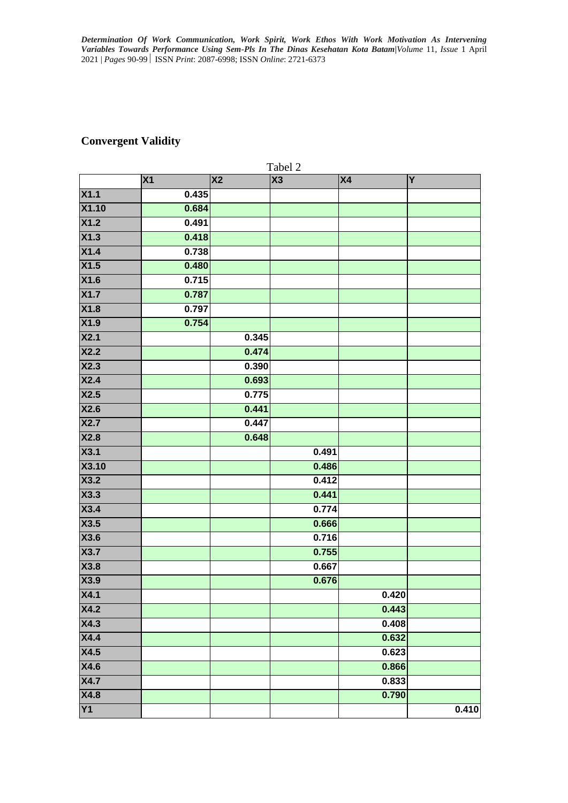# **Convergent Validity**

|       | Tabel 2 |                        |       |                |                |  |
|-------|---------|------------------------|-------|----------------|----------------|--|
|       | X1      | $\overline{\text{X2}}$ | X3    | X <sub>4</sub> | $\overline{Y}$ |  |
| X1.1  | 0.435   |                        |       |                |                |  |
| X1.10 | 0.684   |                        |       |                |                |  |
| X1.2  | 0.491   |                        |       |                |                |  |
| X1.3  | 0.418   |                        |       |                |                |  |
| X1.4  | 0.738   |                        |       |                |                |  |
| X1.5  | 0.480   |                        |       |                |                |  |
| X1.6  | 0.715   |                        |       |                |                |  |
| X1.7  | 0.787   |                        |       |                |                |  |
| X1.8  | 0.797   |                        |       |                |                |  |
| X1.9  | 0.754   |                        |       |                |                |  |
| X2.1  |         | 0.345                  |       |                |                |  |
| X2.2  |         | 0.474                  |       |                |                |  |
| X2.3  |         | 0.390                  |       |                |                |  |
| X2.4  |         | 0.693                  |       |                |                |  |
| X2.5  |         | 0.775                  |       |                |                |  |
| X2.6  |         | 0.441                  |       |                |                |  |
| X2.7  |         | 0.447                  |       |                |                |  |
| X2.8  |         | 0.648                  |       |                |                |  |
| X3.1  |         |                        | 0.491 |                |                |  |
| X3.10 |         |                        | 0.486 |                |                |  |
| X3.2  |         |                        | 0.412 |                |                |  |
| X3.3  |         |                        | 0.441 |                |                |  |
| X3.4  |         |                        | 0.774 |                |                |  |
| X3.5  |         |                        | 0.666 |                |                |  |
| X3.6  |         |                        | 0.716 |                |                |  |
| X3.7  |         |                        | 0.755 |                |                |  |
| X3.8  |         |                        | 0.667 |                |                |  |
| X3.9  |         |                        | 0.676 |                |                |  |
| X4.1  |         |                        |       | 0.420          |                |  |
| X4.2  |         |                        |       | 0.443          |                |  |
| X4.3  |         |                        |       | 0.408          |                |  |
| X4.4  |         |                        |       | 0.632          |                |  |
| X4.5  |         |                        |       | 0.623          |                |  |
| X4.6  |         |                        |       | 0.866          |                |  |
| X4.7  |         |                        |       | 0.833          |                |  |
| X4.8  |         |                        |       | 0.790          |                |  |
| Y1    |         |                        |       |                | 0.410          |  |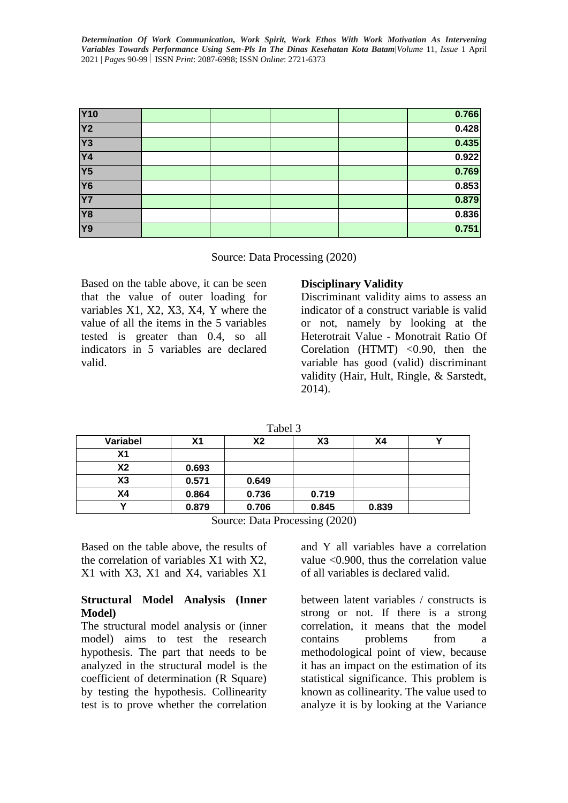| <b>Y10</b>      |  |  | 0.766 |
|-----------------|--|--|-------|
| Y <sub>2</sub>  |  |  | 0.428 |
| <b>Y3</b>       |  |  | 0.435 |
| <b>Y4</b>       |  |  | 0.922 |
| $\overline{Y5}$ |  |  | 0.769 |
| <b>Y6</b>       |  |  | 0.853 |
| <b>Y7</b>       |  |  | 0.879 |
| <b>Y8</b>       |  |  | 0.836 |
| <b>Y9</b>       |  |  | 0.751 |

Source: Data Processing (2020)

Based on the table above, it can be seen that the value of outer loading for variables X1, X2, X3, X4, Y where the value of all the items in the 5 variables tested is greater than 0.4, so all indicators in 5 variables are declared valid.

#### **Disciplinary Validity**

Discriminant validity aims to assess an indicator of a construct variable is valid or not, namely by looking at the Heterotrait Value - Monotrait Ratio Of Corelation  $(HTMT) < 0.90$ , then the variable has good (valid) discriminant validity (Hair, Hult, Ringle, & Sarstedt, 2014).

| Variabel | Х1    | Х2    | X3    | Χ4    |  |
|----------|-------|-------|-------|-------|--|
| Χ1       |       |       |       |       |  |
| X2       | 0.693 |       |       |       |  |
| X3       | 0.571 | 0.649 |       |       |  |
| Χ4       | 0.864 | 0.736 | 0.719 |       |  |
|          | 0.879 | 0.706 | 0.845 | 0.839 |  |

Source: Data Processing (2020)

Based on the table above, the results of the correlation of variables X1 with X2, X1 with X3, X1 and X4, variables X1

### **Structural Model Analysis (Inner Model)**

The structural model analysis or (inner model) aims to test the research hypothesis. The part that needs to be analyzed in the structural model is the coefficient of determination (R Square) by testing the hypothesis. Collinearity test is to prove whether the correlation and Y all variables have a correlation value <0.900, thus the correlation value of all variables is declared valid.

between latent variables / constructs is strong or not. If there is a strong correlation, it means that the model contains problems from a methodological point of view, because it has an impact on the estimation of its statistical significance. This problem is known as collinearity. The value used to analyze it is by looking at the Variance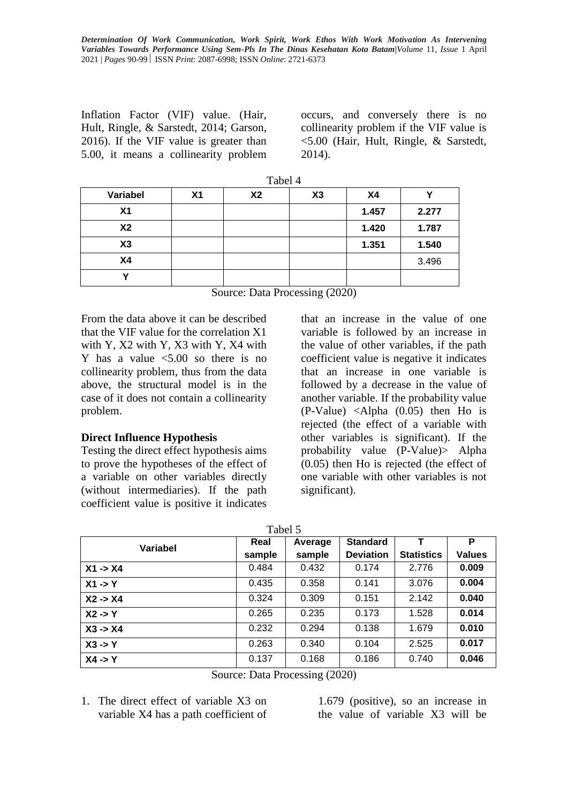Inflation Factor (VIF) value. (Hair, Hult, Ringle, & Sarstedt, 2014; Garson, 2016). If the VIF value is greater than 5.00, it means a collinearity problem

occurs, and conversely there is no collinearity problem if the VIF value is <5.00 (Hair, Hult, Ringle, & Sarstedt, 2014).

|           | 1 adei 4 |           |    |                |       |  |
|-----------|----------|-----------|----|----------------|-------|--|
| Variabel  | X1       | <b>X2</b> | X3 | X <sub>4</sub> |       |  |
| <b>X1</b> |          |           |    | 1.457          | 2.277 |  |
| <b>X2</b> |          |           |    | 1.420          | 1.787 |  |
| X3        |          |           |    | 1.351          | 1.540 |  |
| X4        |          |           |    |                | 3.496 |  |
|           |          |           |    |                |       |  |

 $T - 1 - 14$ 

Source: Data Processing (2020)

From the data above it can be described that the VIF value for the correlation X1 with Y, X2 with Y, X3 with Y, X4 with Y has a value  $\leq 5.00$  so there is no collinearity problem, thus from the data above, the structural model is in the case of it does not contain a collinearity problem.

#### **Direct Influence Hypothesis**

Testing the direct effect hypothesis aims to prove the hypotheses of the effect of a variable on other variables directly (without intermediaries). If the path coefficient value is positive it indicates

that an increase in the value of one variable is followed by an increase in the value of other variables, if the path coefficient value is negative it indicates that an increase in one variable is followed by a decrease in the value of another variable. If the probability value (P-Value) <Alpha (0.05) then Ho is rejected (the effect of a variable with other variables is significant). If the probability value (P-Value)> Alpha (0.05) then Ho is rejected (the effect of one variable with other variables is not significant).

| аг<br>ı |  |
|---------|--|
|---------|--|

| Variabel           | Real   | Average                                    | <b>Standard</b>  |                   | P             |
|--------------------|--------|--------------------------------------------|------------------|-------------------|---------------|
|                    | sample | sample                                     | <b>Deviation</b> | <b>Statistics</b> | <b>Values</b> |
| $X1 - > X4$        | 0.484  | 0.432                                      | 0.174            | 2.776             | 0.009         |
| $X1 \rightarrow Y$ | 0.435  | 0.358                                      | 0.141            | 3.076             | 0.004         |
| $X2 - > X4$        | 0.324  | 0.309                                      | 0.151            | 2.142             | 0.040         |
| $X2 \rightarrow Y$ | 0.265  | 0.235                                      | 0.173            | 1.528             | 0.014         |
| $X3 - > X4$        | 0.232  | 0.294                                      | 0.138            | 1.679             | 0.010         |
| $X3 \rightarrow Y$ | 0.263  | 0.340                                      | 0.104            | 2.525             | 0.017         |
| $X4 - Y$           | 0.137  | 0.168                                      | 0.186            | 0.740             | 0.046         |
|                    |        | $\alpha$ $\beta$ , $\beta$ $\beta$ $\beta$ |                  |                   |               |

Source: Data Processing (2020)

1. The direct effect of variable X3 on variable X4 has a path coefficient of

1.679 (positive), so an increase in the value of variable X3 will be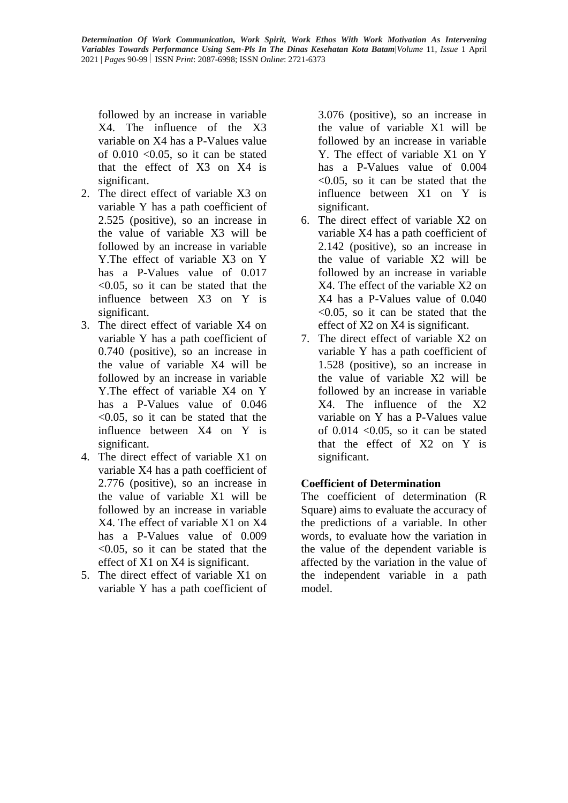followed by an increase in variable X4. The influence of the X3 variable on X4 has a P-Values value of  $0.010$  <  $0.05$ , so it can be stated that the effect of X3 on X4 is significant.

- 2. The direct effect of variable X3 on variable Y has a path coefficient of 2.525 (positive), so an increase in the value of variable X3 will be followed by an increase in variable Y.The effect of variable X3 on Y has a P-Values value of  $0.017$ <0.05, so it can be stated that the influence between X3 on Y is significant.
- 3. The direct effect of variable X4 on variable Y has a path coefficient of 0.740 (positive), so an increase in the value of variable X4 will be followed by an increase in variable Y.The effect of variable X4 on Y has a P-Values value of 0.046 <0.05, so it can be stated that the influence between X4 on Y is significant.
- 4. The direct effect of variable X1 on variable X4 has a path coefficient of 2.776 (positive), so an increase in the value of variable X1 will be followed by an increase in variable X4. The effect of variable X1 on X4 has a P-Values value of 0.009  $\leq 0.05$ , so it can be stated that the effect of X1 on X4 is significant.
- 5. The direct effect of variable X1 on variable Y has a path coefficient of

3.076 (positive), so an increase in the value of variable X1 will be followed by an increase in variable Y. The effect of variable X1 on Y has a P-Values value of 0.004  $< 0.05$ , so it can be stated that the influence between X1 on Y is significant.

- 6. The direct effect of variable X2 on variable X4 has a path coefficient of 2.142 (positive), so an increase in the value of variable X2 will be followed by an increase in variable X4. The effect of the variable X2 on X4 has a P-Values value of 0.040  $\leq 0.05$ , so it can be stated that the effect of X2 on X4 is significant.
- 7. The direct effect of variable X2 on variable Y has a path coefficient of 1.528 (positive), so an increase in the value of variable X2 will be followed by an increase in variable X4. The influence of the X2 variable on Y has a P-Values value of  $0.014$  <  $0.05$ , so it can be stated that the effect of X2 on Y is significant.

# **Coefficient of Determination**

The coefficient of determination (R Square) aims to evaluate the accuracy of the predictions of a variable. In other words, to evaluate how the variation in the value of the dependent variable is affected by the variation in the value of the independent variable in a path model.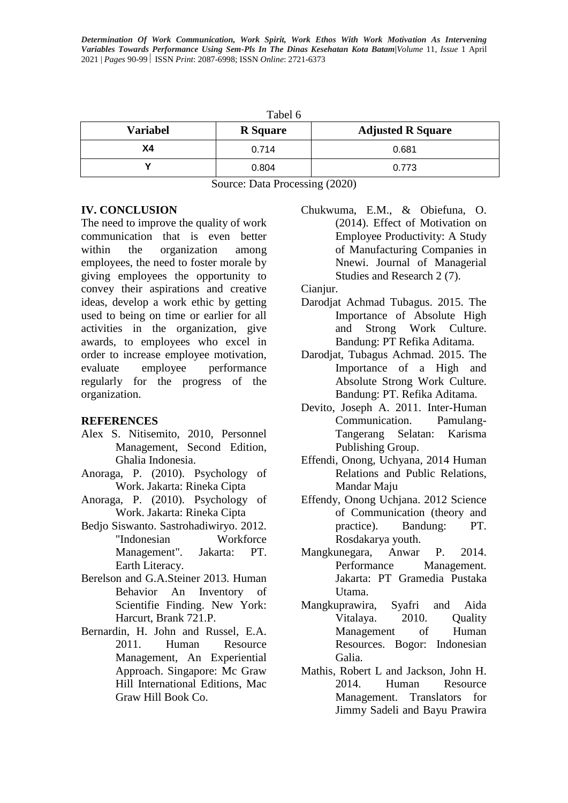| Tabel 6         |                 |                          |  |  |  |
|-----------------|-----------------|--------------------------|--|--|--|
| <b>Variabel</b> | <b>R</b> Square | <b>Adjusted R Square</b> |  |  |  |
| Χ4              | 0.714           | 0.681                    |  |  |  |
|                 | 0.804           | 0.773                    |  |  |  |

Source: Data Processing (2020)

### **IV. CONCLUSION**

The need to improve the quality of work communication that is even better within the organization among employees, the need to foster morale by giving employees the opportunity to convey their aspirations and creative ideas, develop a work ethic by getting used to being on time or earlier for all activities in the organization, give awards, to employees who excel in order to increase employee motivation, evaluate employee performance regularly for the progress of the organization.

### **REFERENCES**

- Alex S. Nitisemito, 2010, Personnel Management, Second Edition, Ghalia Indonesia.
- Anoraga, P. (2010). Psychology of Work. Jakarta: Rineka Cipta
- Anoraga, P. (2010). Psychology of Work. Jakarta: Rineka Cipta
- Bedjo Siswanto. Sastrohadiwiryo. 2012. "Indonesian Workforce Management". Jakarta: PT. Earth Literacy.
- Berelson and G.A.Steiner 2013. Human Behavior An Inventory of Scientifie Finding. New York: Harcurt, Brank 721.P.
- Bernardin, H. John and Russel, E.A. 2011. Human Resource Management, An Experiential Approach. Singapore: Mc Graw Hill International Editions, Mac Graw Hill Book Co.

Chukwuma, E.M., & Obiefuna, O. (2014). Effect of Motivation on Employee Productivity: A Study of Manufacturing Companies in Nnewi. Journal of Managerial Studies and Research 2 (7).

Cianiur.

- Darodjat Achmad Tubagus. 2015. The Importance of Absolute High and Strong Work Culture. Bandung: PT Refika Aditama.
- Darodjat, Tubagus Achmad. 2015. The Importance of a High and Absolute Strong Work Culture. Bandung: PT. Refika Aditama.
- Devito, Joseph A. 2011. Inter-Human Communication. Pamulang-Tangerang Selatan: Karisma Publishing Group.
- Effendi, Onong, Uchyana, 2014 Human Relations and Public Relations, Mandar Maju
- Effendy, Onong Uchjana. 2012 Science of Communication (theory and practice). Bandung: PT. Rosdakarya youth.
- Mangkunegara, Anwar P. 2014. Performance Management. Jakarta: PT Gramedia Pustaka Utama.
- Mangkuprawira, Syafri and Aida Vitalaya. 2010. Quality Management of Human Resources. Bogor: Indonesian Galia.
- Mathis, Robert L and Jackson, John H. 2014. Human Resource Management. Translators for Jimmy Sadeli and Bayu Prawira